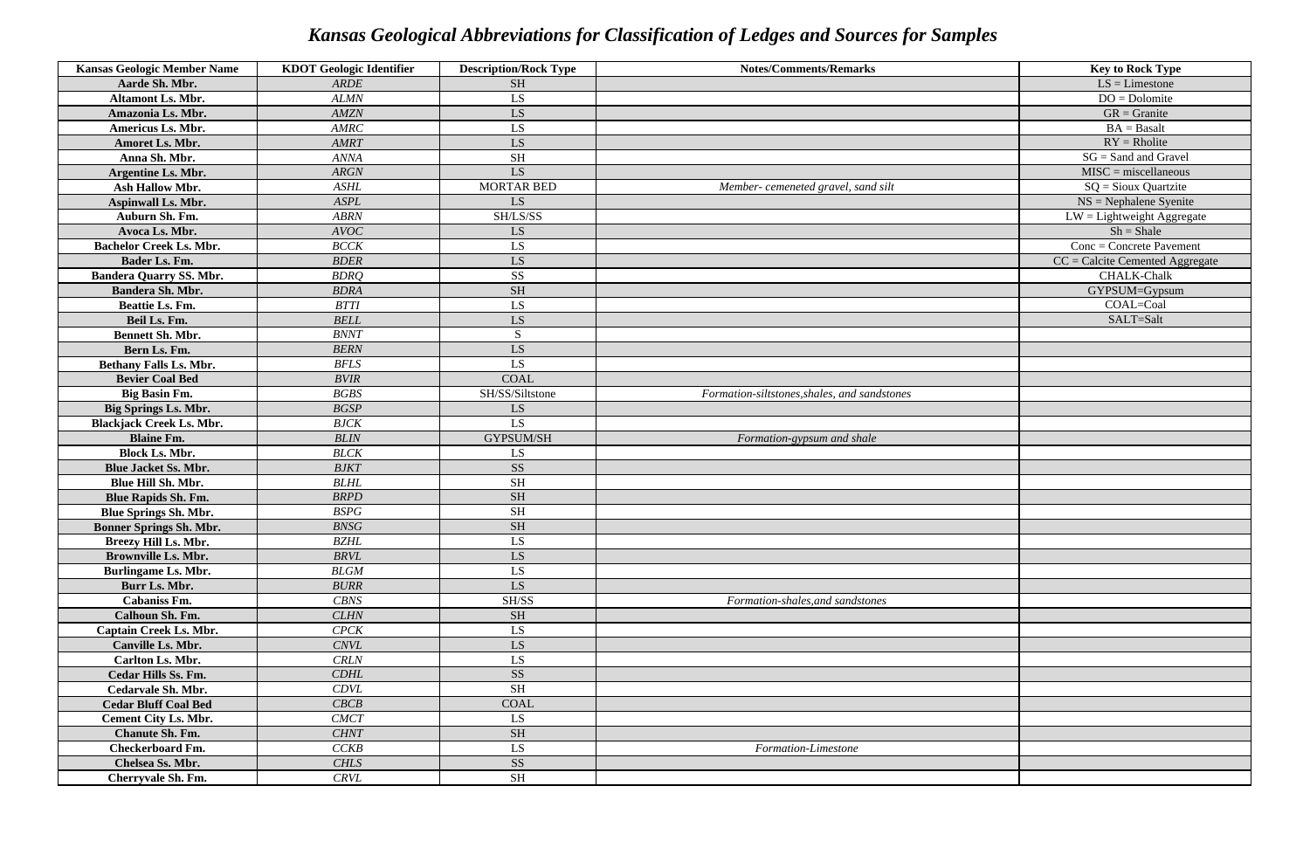| <b>Kansas Geologic Member Name</b> | <b>KDOT</b> Geologic Identifier | <b>Description/Rock Type</b> | <b>Notes/Comments/Remarks</b>                | <b>Key to Rock Type</b>           |
|------------------------------------|---------------------------------|------------------------------|----------------------------------------------|-----------------------------------|
| Aarde Sh. Mbr.                     | <b>ARDE</b>                     | <b>SH</b>                    |                                              | $LS = L$ imestone                 |
| Altamont Ls. Mbr.                  | <b>ALMN</b>                     | LS                           |                                              | $DO = Dolomite$                   |
| Amazonia Ls. Mbr.                  | <b>AMZN</b>                     | LS.                          |                                              | $GR =$ Granite                    |
| Americus Ls. Mbr.                  | <b>AMRC</b>                     | LS.                          |                                              | $BA = Basalt$                     |
| Amoret Ls. Mbr.                    | <b>AMRT</b>                     | LS                           |                                              | $RY = R$ holite                   |
| Anna Sh. Mbr.                      | <b>ANNA</b>                     | <b>SH</b>                    |                                              | $SG = Sand$ and Gravel            |
| Argentine Ls. Mbr.                 | <b>ARGN</b>                     | LS.                          |                                              | $MISC = miscellaneous$            |
| Ash Hallow Mbr.                    | <b>ASHL</b>                     | <b>MORTAR BED</b>            | Member- cemeneted gravel, sand silt          | $SQ =$ Sioux Quartzite            |
| <b>Aspinwall Ls. Mbr.</b>          | <b>ASPL</b>                     | LS.                          |                                              | $NS = Nephalene Syenite$          |
| Auburn Sh. Fm.                     | <b>ABRN</b>                     | SH/LS/SS                     |                                              | $LW =$ Lightweight Aggregate      |
| Avoca Ls. Mbr.                     | <b>AVOC</b>                     | LS.                          |                                              | $Sh = Shale$                      |
| <b>Bachelor Creek Ls. Mbr.</b>     | <b>BCCK</b>                     | LS                           |                                              | $Conc = Concrete$ Pavement        |
| Bader Ls. Fm.                      | <b>BDER</b>                     | LS.                          |                                              | $CC =$ Calcite Cemented Aggregate |
| <b>Bandera Quarry SS. Mbr.</b>     | <b>BDRO</b>                     | <b>SS</b>                    |                                              | <b>CHALK-Chalk</b>                |
| <b>Bandera Sh. Mbr.</b>            | <b>BDRA</b>                     | <b>SH</b>                    |                                              | GYPSUM=Gypsum                     |
| Beattie Ls. Fm.                    | <b>BTTI</b>                     | LS                           |                                              | COAL=Coal                         |
| Beil Ls. Fm.                       | <b>BELL</b>                     | LS                           |                                              | SALT=Salt                         |
| <b>Bennett Sh. Mbr.</b>            | <b>BNNT</b>                     | S                            |                                              |                                   |
| Bern Ls. Fm.                       | <b>BERN</b>                     | LS                           |                                              |                                   |
| <b>Bethany Falls Ls. Mbr.</b>      | <b>BFLS</b>                     | LS                           |                                              |                                   |
| <b>Bevier Coal Bed</b>             | <b>BVIR</b>                     | <b>COAL</b>                  |                                              |                                   |
| <b>Big Basin Fm.</b>               | <b>BGBS</b>                     | SH/SS/Siltstone              | Formation-siltstones, shales, and sandstones |                                   |
| <b>Big Springs Ls. Mbr.</b>        | <b>BGSP</b>                     | LS.                          |                                              |                                   |
| <b>Blackjack Creek Ls. Mbr.</b>    | <b>BJCK</b>                     | LS.                          |                                              |                                   |
| <b>Blaine Fm.</b>                  | <b>BLIN</b>                     | GYPSUM/SH                    | Formation-gypsum and shale                   |                                   |
| <b>Block Ls. Mbr.</b>              | <b>BLCK</b>                     | LS                           |                                              |                                   |
| <b>Blue Jacket Ss. Mbr.</b>        | <b>BJKT</b>                     | <b>SS</b>                    |                                              |                                   |
| Blue Hill Sh. Mbr.                 | <b>BLHL</b>                     | <b>SH</b>                    |                                              |                                   |
| <b>Blue Rapids Sh. Fm.</b>         | <b>BRPD</b>                     | <b>SH</b>                    |                                              |                                   |
| <b>Blue Springs Sh. Mbr.</b>       | <b>BSPG</b>                     | <b>SH</b>                    |                                              |                                   |
| <b>Bonner Springs Sh. Mbr.</b>     | BNSG                            | $\operatorname{SH}$          |                                              |                                   |
| Breezy Hill Ls. Mbr.               | <b>BZHL</b>                     | LS                           |                                              |                                   |
| <b>Brownville Ls. Mbr.</b>         | <b>BRVL</b>                     | LS.                          |                                              |                                   |
| <b>Burlingame Ls. Mbr.</b>         | <b>BLGM</b>                     | LS.                          |                                              |                                   |
| Burr Ls. Mbr.                      | <b>BURR</b>                     | LS                           |                                              |                                   |
| <b>Cabaniss Fm.</b>                | <b>CBNS</b>                     | SH/SS                        | Formation-shales, and sandstones             |                                   |
| Calhoun Sh. Fm.                    | <b>CLHN</b>                     | <b>SH</b>                    |                                              |                                   |
| Captain Creek Ls. Mbr.             | $\mathit{CPCK}$                 | LS.                          |                                              |                                   |
| Canville Ls. Mbr.                  | <b>CNVL</b>                     | LS                           |                                              |                                   |
| Carlton Ls. Mbr.                   | CRLN                            | LS                           |                                              |                                   |
| <b>Cedar Hills Ss. Fm.</b>         | CDHL                            | SS                           |                                              |                                   |
| Cedarvale Sh. Mbr.                 | CDVL                            | <b>SH</b>                    |                                              |                                   |
| <b>Cedar Bluff Coal Bed</b>        | CBCB                            | <b>COAL</b>                  |                                              |                                   |
| <b>Cement City Ls. Mbr.</b>        | <b>CMCT</b>                     | LS                           |                                              |                                   |
| <b>Chanute Sh. Fm.</b>             | <b>CHNT</b>                     | <b>SH</b>                    |                                              |                                   |
| <b>Checkerboard Fm.</b>            | CCKB                            | LS                           | Formation-Limestone                          |                                   |
| Chelsea Ss. Mbr.                   | <b>CHLS</b>                     | SS <sub>1</sub>              |                                              |                                   |
| Cherryvale Sh. Fm.                 | CRVL                            | <b>SH</b>                    |                                              |                                   |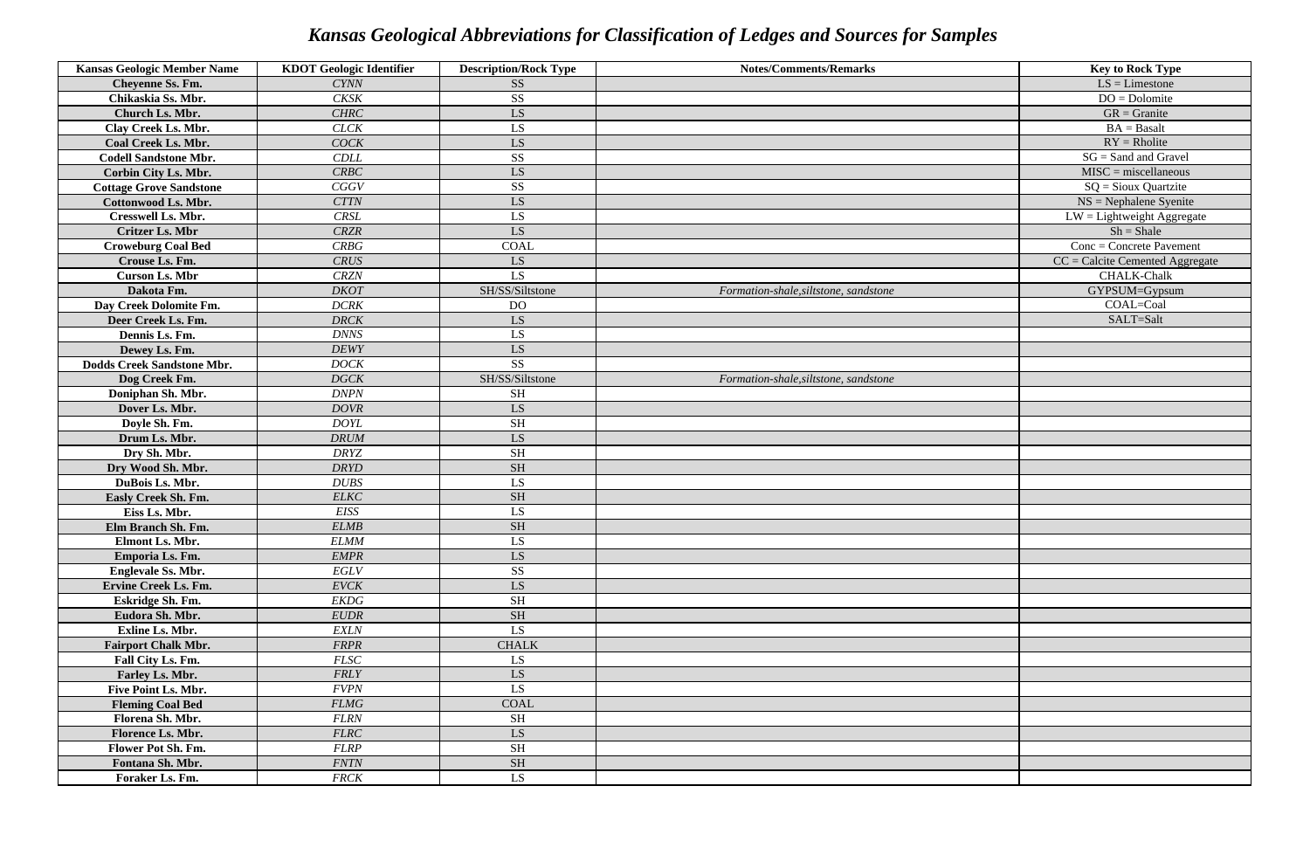| <b>Kansas Geologic Member Name</b> | <b>KDOT Geologic Identifier</b> | <b>Description/Rock Type</b> | <b>Notes/Comments/Remarks</b>         | <b>Key to Rock Type</b>           |
|------------------------------------|---------------------------------|------------------------------|---------------------------------------|-----------------------------------|
| Cheyenne Ss. Fm.                   | <b>CYNN</b>                     | SS <sub>1</sub>              |                                       | $LS = L$ imestone                 |
| Chikaskia Ss. Mbr.                 | <b>CKSK</b>                     | <b>SS</b>                    |                                       | $DO = Dolomite$                   |
| Church Ls. Mbr.                    | CHRC                            | LS                           |                                       | $GR =$ Granite                    |
| Clay Creek Ls. Mbr.                | <b>CLCK</b>                     | LS                           |                                       | $BA = Basalt$                     |
| <b>Coal Creek Ls. Mbr.</b>         | <b>COCK</b>                     | LS                           |                                       | $RY = R$ holite                   |
| <b>Codell Sandstone Mbr.</b>       | <b>CDLL</b>                     | <b>SS</b>                    |                                       | $SG = Sand$ and Gravel            |
| Corbin City Ls. Mbr.               | CRBC                            | LS.                          |                                       | $MISC = miscellaneous$            |
| <b>Cottage Grove Sandstone</b>     | CGGV                            | <b>SS</b>                    |                                       | $SQ =$ Sioux Quartzite            |
| <b>Cottonwood Ls. Mbr.</b>         | <b>CTTN</b>                     | LS                           |                                       | $NS = Nephalene Syenite$          |
| Cresswell Ls. Mbr.                 | <b>CRSL</b>                     | LS                           |                                       | $LW =$ Lightweight Aggregate      |
| <b>Critzer Ls. Mbr</b>             | <b>CRZR</b>                     | LS                           |                                       | $Sh = Shale$                      |
| <b>Croweburg Coal Bed</b>          | CRBG                            | <b>COAL</b>                  |                                       | $Conc = Concrete$ Pavement        |
| Crouse Ls. Fm.                     | <b>CRUS</b>                     | LS                           |                                       | $CC =$ Calcite Cemented Aggregate |
| <b>Curson Ls. Mbr</b>              | <b>CRZN</b>                     | LS                           |                                       | <b>CHALK-Chalk</b>                |
| Dakota Fm.                         | <b>DKOT</b>                     | SH/SS/Siltstone              | Formation-shale, siltstone, sandstone | GYPSUM=Gypsum                     |
| Day Creek Dolomite Fm.             | DCRK                            | <b>DO</b>                    |                                       | COAL=Coal                         |
| Deer Creek Ls. Fm.                 | <b>DRCK</b>                     | LS.                          |                                       | SALT=Salt                         |
| Dennis Ls. Fm.                     | <b>DNNS</b>                     | LS                           |                                       |                                   |
| Dewey Ls. Fm.                      | <b>DEWY</b>                     | LS                           |                                       |                                   |
| <b>Dodds Creek Sandstone Mbr.</b>  | <b>DOCK</b>                     | <b>SS</b>                    |                                       |                                   |
| Dog Creek Fm.                      | DGCK                            | SH/SS/Siltstone              | Formation-shale, siltstone, sandstone |                                   |
| Doniphan Sh. Mbr.                  | <b>DNPN</b>                     | <b>SH</b>                    |                                       |                                   |
| Dover Ls. Mbr.                     | <b>DOVR</b>                     | LS                           |                                       |                                   |
| Doyle Sh. Fm.                      | <b>DOYL</b>                     | <b>SH</b>                    |                                       |                                   |
| Drum Ls. Mbr.                      | <b>DRUM</b>                     | LS                           |                                       |                                   |
| Dry Sh. Mbr.                       | <b>DRYZ</b>                     | <b>SH</b>                    |                                       |                                   |
| Dry Wood Sh. Mbr.                  | <b>DRYD</b>                     | <b>SH</b>                    |                                       |                                   |
| DuBois Ls. Mbr.                    | <b>DUBS</b>                     | LS                           |                                       |                                   |
| Easly Creek Sh. Fm.                | <b>ELKC</b>                     | <b>SH</b>                    |                                       |                                   |
| Eiss Ls. Mbr.                      | <b>EISS</b>                     | LS                           |                                       |                                   |
| Elm Branch Sh. Fm.                 | <b>ELMB</b>                     | <b>SH</b>                    |                                       |                                   |
| Elmont Ls. Mbr.                    | <b>ELMM</b>                     | LS                           |                                       |                                   |
| Emporia Ls. Fm.                    | <b>EMPR</b>                     | LS                           |                                       |                                   |
| <b>Englevale Ss. Mbr.</b>          | $\it{EGLV}$                     | <b>SS</b>                    |                                       |                                   |
| <b>Ervine Creek Ls. Fm.</b>        | EVCK                            | LS                           |                                       |                                   |
| Eskridge Sh. Fm.                   | <b>EKDG</b>                     | <b>SH</b>                    |                                       |                                   |
| Eudora Sh. Mbr.                    | EUDR                            | <b>SH</b>                    |                                       |                                   |
| <b>Exline Ls. Mbr.</b>             | <b>EXLN</b>                     | LS                           |                                       |                                   |
| <b>Fairport Chalk Mbr.</b>         | <b>FRPR</b>                     | <b>CHALK</b>                 |                                       |                                   |
| Fall City Ls. Fm.                  | FLSC                            | LS                           |                                       |                                   |
| Farley Ls. Mbr.                    | <b>FRLY</b>                     | LS                           |                                       |                                   |
| Five Point Ls. Mbr.                | <b>FVPN</b>                     | LS                           |                                       |                                   |
| <b>Fleming Coal Bed</b>            | <b>FLMG</b>                     | <b>COAL</b>                  |                                       |                                   |
| Florena Sh. Mbr.                   | <b>FLRN</b>                     | <b>SH</b>                    |                                       |                                   |
| Florence Ls. Mbr.                  | FLRC                            | LS                           |                                       |                                   |
| Flower Pot Sh. Fm.                 | <b>FLRP</b>                     | <b>SH</b>                    |                                       |                                   |
| Fontana Sh. Mbr.                   | <b>FNTN</b>                     | <b>SH</b>                    |                                       |                                   |
| Foraker Ls. Fm.                    | <b>FRCK</b>                     | LS                           |                                       |                                   |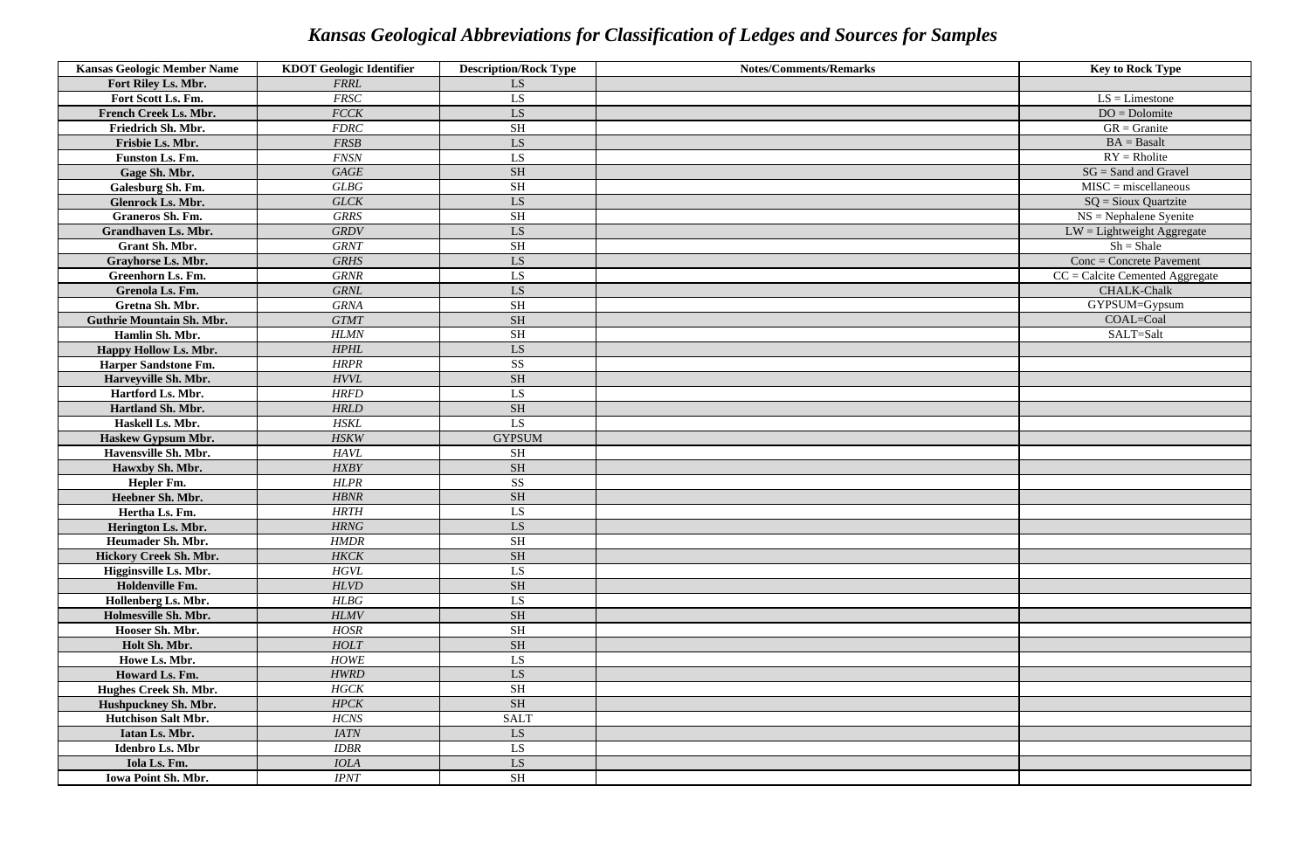| <b>Kansas Geologic Member Name</b> | <b>KDOT</b> Geologic Identifier | <b>Description/Rock Type</b> | <b>Notes/Comments/Remarks</b> | <b>Key to Rock Type</b>           |
|------------------------------------|---------------------------------|------------------------------|-------------------------------|-----------------------------------|
| Fort Riley Ls. Mbr.                | <b>FRRL</b>                     | LS                           |                               |                                   |
| Fort Scott Ls. Fm.                 | <b>FRSC</b>                     | LS                           |                               | $LS = L$ imestone                 |
| French Creek Ls. Mbr.              | <b>FCCK</b>                     | LS                           |                               | $DO = Dolomite$                   |
| Friedrich Sh. Mbr.                 | <b>FDRC</b>                     | <b>SH</b>                    |                               | $GR =$ Granite                    |
| Frisbie Ls. Mbr.                   | FRSB                            | LS                           |                               | $BA = Basalt$                     |
| Funston Ls. Fm.                    | <b>FNSN</b>                     | LS                           |                               | $RY = R$ holite                   |
| Gage Sh. Mbr.                      | GAGE                            | <b>SH</b>                    |                               | $SG = Sand$ and Gravel            |
| Galesburg Sh. Fm.                  | GLBG                            | <b>SH</b>                    |                               | $MISC = miscellaneous$            |
| <b>Glenrock Ls. Mbr.</b>           | <b>GLCK</b>                     | LS                           |                               | $SQ =$ Sioux Quartzite            |
| <b>Graneros Sh. Fm.</b>            | <b>GRRS</b>                     | <b>SH</b>                    |                               | $NS = Nephalene$ Syenite          |
| <b>Grandhaven Ls. Mbr.</b>         | <b>GRDV</b>                     | LS                           |                               | $LW =$ Lightweight Aggregate      |
| Grant Sh. Mbr.                     | <b>GRNT</b>                     | <b>SH</b>                    |                               | $Sh = Shale$                      |
| <b>Grayhorse Ls. Mbr.</b>          | <b>GRHS</b>                     | LS                           |                               | $Conc = Concrete$ Pavement        |
| <b>Greenhorn Ls. Fm.</b>           | <b>GRNR</b>                     | LS                           |                               | $CC =$ Calcite Cemented Aggregate |
| Grenola Ls. Fm.                    | <b>GRNL</b>                     | LS                           |                               | CHALK-Chalk                       |
| Gretna Sh. Mbr.                    | <b>GRNA</b>                     | <b>SH</b>                    |                               | GYPSUM=Gypsum                     |
| <b>Guthrie Mountain Sh. Mbr.</b>   | <b>GTMT</b>                     | <b>SH</b>                    |                               | COAL=Coal                         |
| Hamlin Sh. Mbr.                    | <b>HLMN</b>                     | <b>SH</b>                    |                               | SALT=Salt                         |
| Happy Hollow Ls. Mbr.              | <b>HPHL</b>                     | LS                           |                               |                                   |
| <b>Harper Sandstone Fm.</b>        | <b>HRPR</b>                     | <b>SS</b>                    |                               |                                   |
| Harveyville Sh. Mbr.               | HVVL                            | <b>SH</b>                    |                               |                                   |
| Hartford Ls. Mbr.                  | <b>HRFD</b>                     | LS                           |                               |                                   |
| Hartland Sh. Mbr.                  | <b>HRLD</b>                     | <b>SH</b>                    |                               |                                   |
| Haskell Ls. Mbr.                   | <b>HSKL</b>                     | LS.                          |                               |                                   |
| Haskew Gypsum Mbr.                 | <b>HSKW</b>                     | <b>GYPSUM</b>                |                               |                                   |
| Havensville Sh. Mbr.               | <b>HAVL</b>                     | <b>SH</b>                    |                               |                                   |
| Hawxby Sh. Mbr.                    | <b>HXBY</b>                     | <b>SH</b>                    |                               |                                   |
| Hepler Fm.                         | <b>HLPR</b>                     | <b>SS</b>                    |                               |                                   |
| Heebner Sh. Mbr.                   | <b>HBNR</b>                     | <b>SH</b>                    |                               |                                   |
| Hertha Ls. Fm.                     | <b>HRTH</b>                     | LS                           |                               |                                   |
| Herington Ls. Mbr.                 | HRNG                            | LS                           |                               |                                   |
| Heumader Sh. Mbr.                  | HMDR                            | SH                           |                               |                                   |
| Hickory Creek Sh. Mbr.             | <b>HKCK</b>                     | <b>SH</b>                    |                               |                                   |
| Higginsville Ls. Mbr.              | <b>HGVL</b>                     | LS                           |                               |                                   |
| Holdenville Fm.                    | <b>HLVD</b>                     | <b>SH</b>                    |                               |                                   |
| Hollenberg Ls. Mbr.                | HLBG                            | LS                           |                               |                                   |
| Holmesville Sh. Mbr.               | <b>HLMV</b>                     | <b>SH</b>                    |                               |                                   |
| Hooser Sh. Mbr.                    | <b>HOSR</b>                     | <b>SH</b>                    |                               |                                   |
| Holt Sh. Mbr.                      | HOLT                            | <b>SH</b>                    |                               |                                   |
| Howe Ls. Mbr.                      | <b>HOWE</b>                     | LS                           |                               |                                   |
| Howard Ls. Fm.                     | <b>HWRD</b>                     | LS                           |                               |                                   |
| Hughes Creek Sh. Mbr.              | HGCK                            | <b>SH</b>                    |                               |                                   |
| Hushpuckney Sh. Mbr.               | HPCK                            | <b>SH</b>                    |                               |                                   |
| <b>Hutchison Salt Mbr.</b>         | HCNS                            | <b>SALT</b>                  |                               |                                   |
| Iatan Ls. Mbr.                     | <b>IATN</b>                     | LS                           |                               |                                   |
| Idenbro Ls. Mbr                    | <b>IDBR</b>                     | LS                           |                               |                                   |
| Iola Ls. Fm.                       | <b>IOLA</b>                     | LS                           |                               |                                   |
| <b>Iowa Point Sh. Mbr.</b>         | <b>IPNT</b>                     | <b>SH</b>                    |                               |                                   |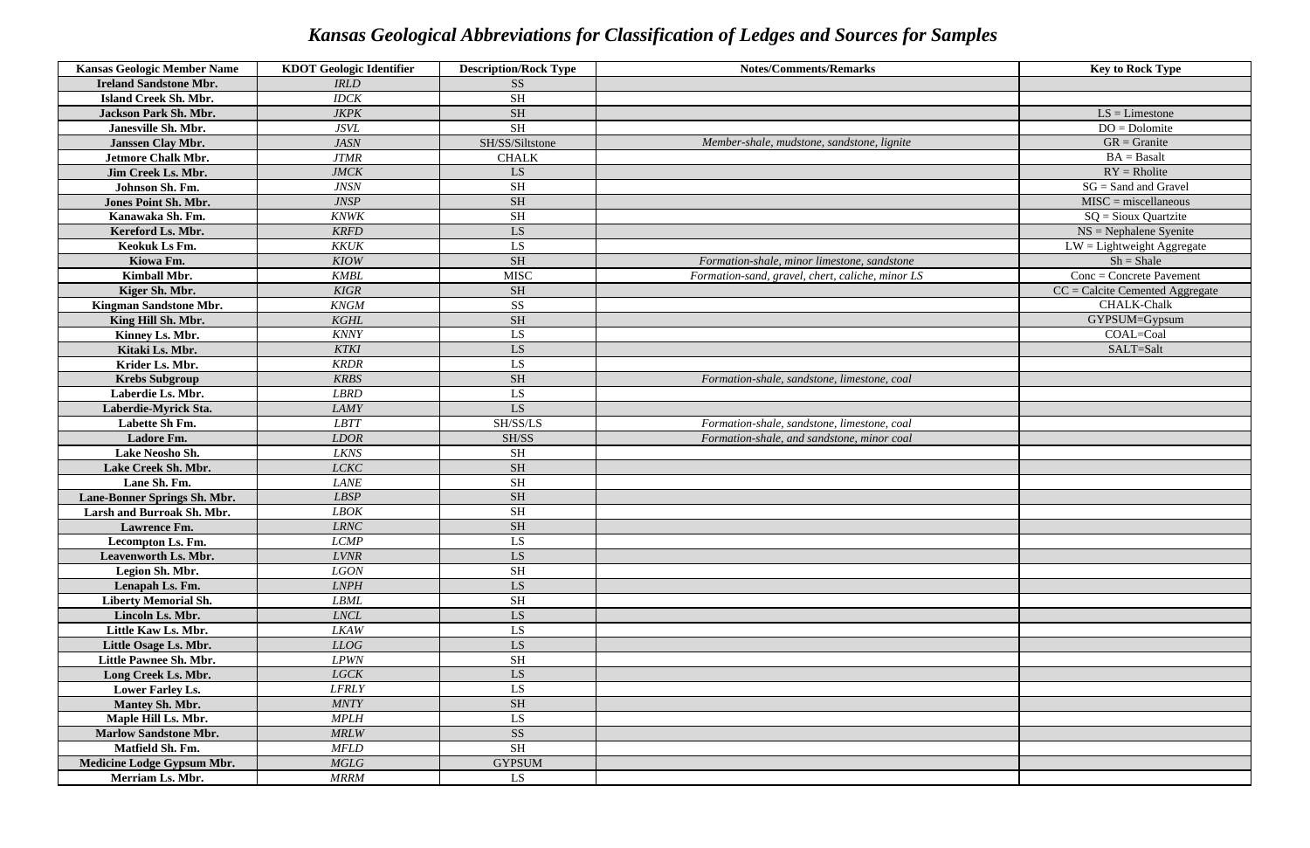| <b>Kansas Geologic Member Name</b> | <b>KDOT Geologic Identifier</b> | <b>Description/Rock Type</b> | <b>Notes/Comments/Remarks</b>                    | <b>Key to Rock Type</b>                 |
|------------------------------------|---------------------------------|------------------------------|--------------------------------------------------|-----------------------------------------|
| <b>Ireland Sandstone Mbr.</b>      | <b>IRLD</b>                     | <b>SS</b>                    |                                                  |                                         |
| <b>Island Creek Sh. Mbr.</b>       | <b>IDCK</b>                     | <b>SH</b>                    |                                                  |                                         |
| <b>Jackson Park Sh. Mbr.</b>       | <b>JKPK</b>                     | <b>SH</b>                    |                                                  | $LS = L$ imestone                       |
| Janesville Sh. Mbr.                | <b>JSVL</b>                     | <b>SH</b>                    |                                                  | $DO = Dolomite$                         |
| <b>Janssen Clay Mbr.</b>           | <b>JASN</b>                     | SH/SS/Siltstone              | Member-shale, mudstone, sandstone, lignite       | $GR =$ Granite                          |
| <b>Jetmore Chalk Mbr.</b>          | <b>JTMR</b>                     | <b>CHALK</b>                 |                                                  | $BA = Basalt$                           |
| Jim Creek Ls. Mbr.                 | <b>JMCK</b>                     | LS                           |                                                  | $RY = R$ holite                         |
| Johnson Sh. Fm.                    | <b>JNSN</b>                     | <b>SH</b>                    |                                                  | $SG = Sand$ and Gravel                  |
| Jones Point Sh. Mbr.               | <b>JNSP</b>                     | <b>SH</b>                    |                                                  | $MISC =$ miscellaneous                  |
| Kanawaka Sh. Fm.                   | <b>KNWK</b>                     | <b>SH</b>                    |                                                  | $SQ =$ Sioux Quartzite                  |
| Kereford Ls. Mbr.                  | <b>KRFD</b>                     | <b>LS</b>                    |                                                  | $NS = Nephalene Syenite$                |
| Keokuk Ls Fm.                      | <b>KKUK</b>                     | LS                           |                                                  | $\overline{LW}$ = Lightweight Aggregate |
| Kiowa Fm.                          | <b>KIOW</b>                     | <b>SH</b>                    | Formation-shale, minor limestone, sandstone      | $Sh = Shale$                            |
| Kimball Mbr.                       | <b>KMBL</b>                     | <b>MISC</b>                  | Formation-sand, gravel, chert, caliche, minor LS | $Conc = Concrete$ Pavement              |
| Kiger Sh. Mbr.                     | <b>KIGR</b>                     | <b>SH</b>                    |                                                  | $CC =$ Calcite Cemented Aggregate       |
| Kingman Sandstone Mbr.             | <b>KNGM</b>                     | <b>SS</b>                    |                                                  | <b>CHALK-Chalk</b>                      |
| King Hill Sh. Mbr.                 | <b>KGHL</b>                     | <b>SH</b>                    |                                                  | GYPSUM=Gypsum                           |
| Kinney Ls. Mbr.                    | <b>KNNY</b>                     | LS                           |                                                  | COAL=Coal                               |
| Kitaki Ls. Mbr.                    | <b>KTKI</b>                     | <b>LS</b>                    |                                                  | SALT=Salt                               |
| Krider Ls. Mbr.                    | <b>KRDR</b>                     | LS                           |                                                  |                                         |
| <b>Krebs Subgroup</b>              | <b>KRBS</b>                     | <b>SH</b>                    | Formation-shale, sandstone, limestone, coal      |                                         |
| Laberdie Ls. Mbr.                  | <b>LBRD</b>                     | LS                           |                                                  |                                         |
| Laberdie-Myrick Sta.               | <b>LAMY</b>                     | LS                           |                                                  |                                         |
| Labette Sh Fm.                     | <b>LBTT</b>                     | SH/SS/LS                     | Formation-shale, sandstone, limestone, coal      |                                         |
| Ladore Fm.                         | <b>LDOR</b>                     | SH/SS                        | Formation-shale, and sandstone, minor coal       |                                         |
| Lake Neosho Sh.                    | <b>LKNS</b>                     | <b>SH</b>                    |                                                  |                                         |
| Lake Creek Sh. Mbr.                | <b>LCKC</b>                     | <b>SH</b>                    |                                                  |                                         |
| Lane Sh. Fm.                       | <b>LANE</b>                     | <b>SH</b>                    |                                                  |                                         |
| Lane-Bonner Springs Sh. Mbr.       | <b>LBSP</b>                     | <b>SH</b>                    |                                                  |                                         |
| Larsh and Burroak Sh. Mbr.         | <b>LBOK</b>                     | <b>SH</b>                    |                                                  |                                         |
| Lawrence Fm.                       | <b>LRNC</b>                     | $\rm SH$                     |                                                  |                                         |
| Lecompton Ls. Fm.                  | $\ensuremath{\mathit{LCMP}}$    | LS                           |                                                  |                                         |
| Leavenworth Ls. Mbr.               | <b>LVNR</b>                     | LS                           |                                                  |                                         |
| Legion Sh. Mbr.                    | LGON                            | <b>SH</b>                    |                                                  |                                         |
| Lenapah Ls. Fm.                    | <b>LNPH</b>                     | LS                           |                                                  |                                         |
| <b>Liberty Memorial Sh.</b>        | <b>LBML</b>                     | <b>SH</b>                    |                                                  |                                         |
| Lincoln Ls. Mbr.                   | LNCL                            | LS                           |                                                  |                                         |
| Little Kaw Ls. Mbr.                | LKAW                            | LS                           |                                                  |                                         |
| Little Osage Ls. Mbr.              | LLOG                            | LS                           |                                                  |                                         |
| Little Pawnee Sh. Mbr.             | L PWN                           | <b>SH</b>                    |                                                  |                                         |
| Long Creek Ls. Mbr.                | <b>LGCK</b>                     | LS                           |                                                  |                                         |
| <b>Lower Farley Ls.</b>            | <b>LFRLY</b>                    | LS                           |                                                  |                                         |
| <b>Mantey Sh. Mbr.</b>             | <b>MNTY</b>                     | <b>SH</b>                    |                                                  |                                         |
| Maple Hill Ls. Mbr.                | <b>MPLH</b>                     | LS                           |                                                  |                                         |
| <b>Marlow Sandstone Mbr.</b>       | <b>MRLW</b>                     | <b>SS</b>                    |                                                  |                                         |
| Matfield Sh. Fm.                   | <b>MFLD</b>                     | <b>SH</b>                    |                                                  |                                         |
| Medicine Lodge Gypsum Mbr.         | <b>MGLG</b>                     | <b>GYPSUM</b>                |                                                  |                                         |
| Merriam Ls. Mbr.                   | <b>MRRM</b>                     | LS                           |                                                  |                                         |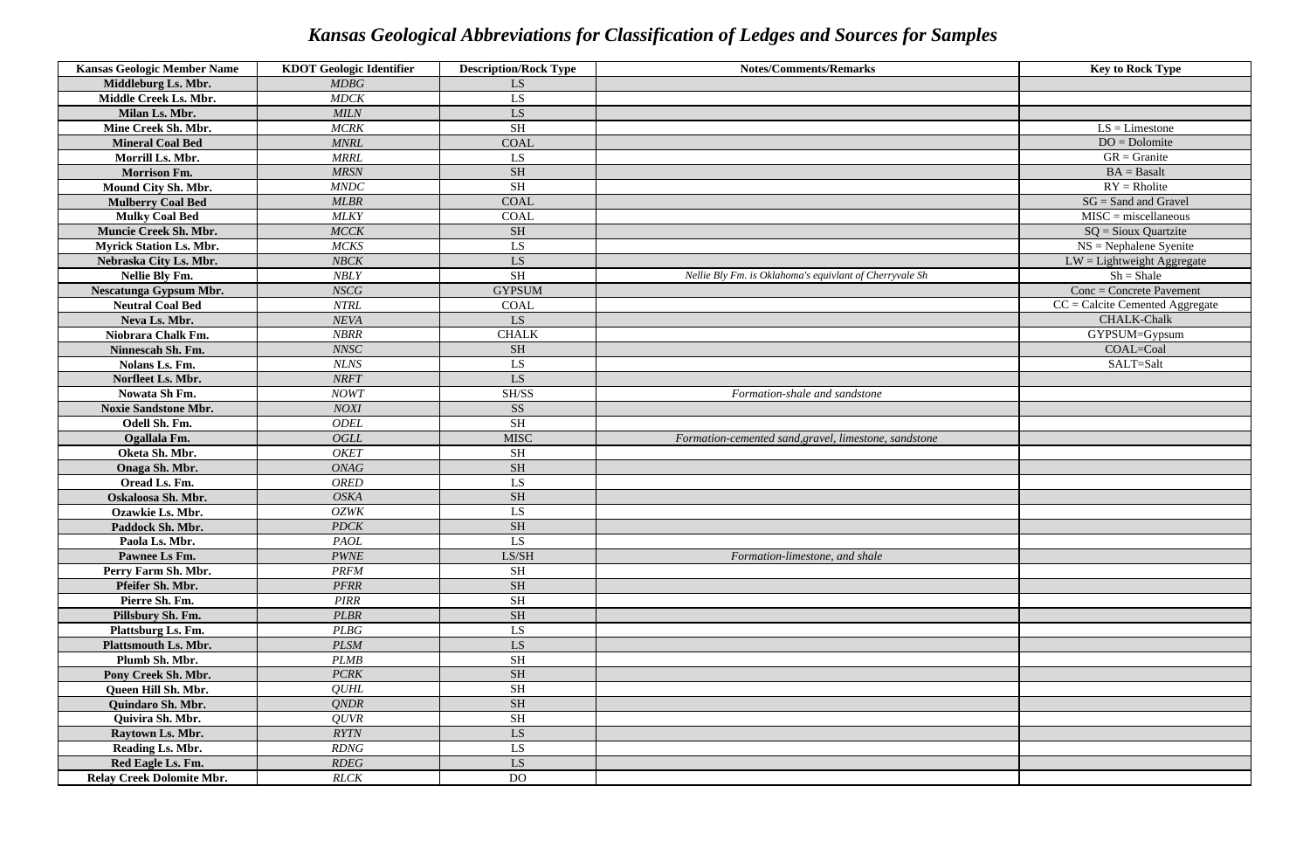| <b>Kansas Geologic Member Name</b> | <b>KDOT</b> Geologic Identifier | <b>Description/Rock Type</b> | <b>Notes/Comments/Remarks</b>                           | <b>Key to Rock Type</b>           |
|------------------------------------|---------------------------------|------------------------------|---------------------------------------------------------|-----------------------------------|
| Middleburg Ls. Mbr.                | MDBG                            | LS.                          |                                                         |                                   |
| Middle Creek Ls. Mbr.              | <b>MDCK</b>                     | LS                           |                                                         |                                   |
| Milan Ls. Mbr.                     | <b>MILN</b>                     | LS                           |                                                         |                                   |
| Mine Creek Sh. Mbr.                | <b>MCRK</b>                     | <b>SH</b>                    |                                                         | $LS = L$ imestone                 |
| <b>Mineral Coal Bed</b>            | <b>MNRL</b>                     | <b>COAL</b>                  |                                                         | $DO = Dolomite$                   |
| Morrill Ls. Mbr.                   | <b>MRRL</b>                     | LS                           |                                                         | $GR =$ Granite                    |
| <b>Morrison Fm.</b>                | <b>MRSN</b>                     | <b>SH</b>                    |                                                         | $BA = Basalt$                     |
| Mound City Sh. Mbr.                | <b>MNDC</b>                     | <b>SH</b>                    |                                                         | $RY = R$ holite                   |
| <b>Mulberry Coal Bed</b>           | <b>MLBR</b>                     | <b>COAL</b>                  |                                                         | $SG = Sand$ and Gravel            |
| <b>Mulky Coal Bed</b>              | <b>MLKY</b>                     | <b>COAL</b>                  |                                                         | $MISC = miscellaneous$            |
| Muncie Creek Sh. Mbr.              | MCCK                            | <b>SH</b>                    |                                                         | $SQ =$ Sioux Quartzite            |
| <b>Myrick Station Ls. Mbr.</b>     | <b>MCKS</b>                     | LS                           |                                                         | $NS = Nephalene Syenite$          |
| Nebraska City Ls. Mbr.             | <b>NBCK</b>                     | LS                           |                                                         | $LW =$ Lightweight Aggregate      |
| Nellie Bly Fm.                     | <b>NBLY</b>                     | <b>SH</b>                    | Nellie Bly Fm. is Oklahoma's equivlant of Cherryvale Sh | $Sh = Shale$                      |
| Nescatunga Gypsum Mbr.             | <b>NSCG</b>                     | <b>GYPSUM</b>                |                                                         | $Conc = Concrete$ Pavement        |
| <b>Neutral Coal Bed</b>            | <b>NTRL</b>                     | <b>COAL</b>                  |                                                         | $CC =$ Calcite Cemented Aggregate |
| Neva Ls. Mbr.                      | <b>NEVA</b>                     | LS.                          |                                                         | <b>CHALK-Chalk</b>                |
| Niobrara Chalk Fm.                 | <b>NBRR</b>                     | <b>CHALK</b>                 |                                                         | GYPSUM=Gypsum                     |
| Ninnescah Sh. Fm.                  | NNSC                            | <b>SH</b>                    |                                                         | COAL=Coal                         |
| Nolans Ls. Fm.                     | <b>NLNS</b>                     | LS                           |                                                         | SALT=Salt                         |
| Norfleet Ls. Mbr.                  | <b>NRFT</b>                     | LS                           |                                                         |                                   |
| Nowata Sh Fm.                      | <b>NOWT</b>                     | SH/SS                        | Formation-shale and sandstone                           |                                   |
| <b>Noxie Sandstone Mbr.</b>        | <b>NOXI</b>                     | <b>SS</b>                    |                                                         |                                   |
| Odell Sh. Fm.                      | <b>ODEL</b>                     | <b>SH</b>                    |                                                         |                                   |
| Ogallala Fm.                       | <b>OGLL</b>                     | <b>MISC</b>                  | Formation-cemented sand, gravel, limestone, sandstone   |                                   |
| Oketa Sh. Mbr.                     | <b>OKET</b>                     | <b>SH</b>                    |                                                         |                                   |
| Onaga Sh. Mbr.                     | ONAG                            | <b>SH</b>                    |                                                         |                                   |
| Oread Ls. Fm.                      | <b>ORED</b>                     | LS                           |                                                         |                                   |
| Oskaloosa Sh. Mbr.                 | <b>OSKA</b>                     | <b>SH</b>                    |                                                         |                                   |
| Ozawkie Ls. Mbr.                   | <b>OZWK</b>                     | LS                           |                                                         |                                   |
| Paddock Sh. Mbr.                   | <b>PDCK</b>                     | $\operatorname{SH}$          |                                                         |                                   |
| Paola Ls. Mbr.                     | PAOL                            | LS.                          |                                                         |                                   |
| Pawnee Ls Fm.                      | <b>PWNE</b>                     | LS/SH                        | Formation-limestone, and shale                          |                                   |
| Perry Farm Sh. Mbr.                | <b>PRFM</b>                     | <b>SH</b>                    |                                                         |                                   |
| Pfeifer Sh. Mbr.                   | <b>PFRR</b>                     | <b>SH</b>                    |                                                         |                                   |
| Pierre Sh. Fm.                     | <b>PIRR</b>                     | <b>SH</b>                    |                                                         |                                   |
| Pillsbury Sh. Fm.                  | <b>PLBR</b>                     | <b>SH</b>                    |                                                         |                                   |
| Plattsburg Ls. Fm.                 | PLBG                            | LS                           |                                                         |                                   |
| <b>Plattsmouth Ls. Mbr.</b>        | <b>PLSM</b>                     | LS                           |                                                         |                                   |
| Plumb Sh. Mbr.                     | <b>PLMB</b>                     | <b>SH</b>                    |                                                         |                                   |
| Pony Creek Sh. Mbr.                | PCRK                            | <b>SH</b>                    |                                                         |                                   |
| Queen Hill Sh. Mbr.                | <b>QUHL</b>                     | <b>SH</b>                    |                                                         |                                   |
| Quindaro Sh. Mbr.                  | QNDR                            | <b>SH</b>                    |                                                         |                                   |
| Quivira Sh. Mbr.                   | QUVR                            | $\operatorname{SH}$          |                                                         |                                   |
| Raytown Ls. Mbr.                   | <b>RYTN</b>                     | LS                           |                                                         |                                   |
| Reading Ls. Mbr.                   | <b>RDNG</b>                     | LS.                          |                                                         |                                   |
| Red Eagle Ls. Fm.                  | <b>RDEG</b>                     | LS                           |                                                         |                                   |
| <b>Relay Creek Dolomite Mbr.</b>   | RLCK                            | DO <sub>1</sub>              |                                                         |                                   |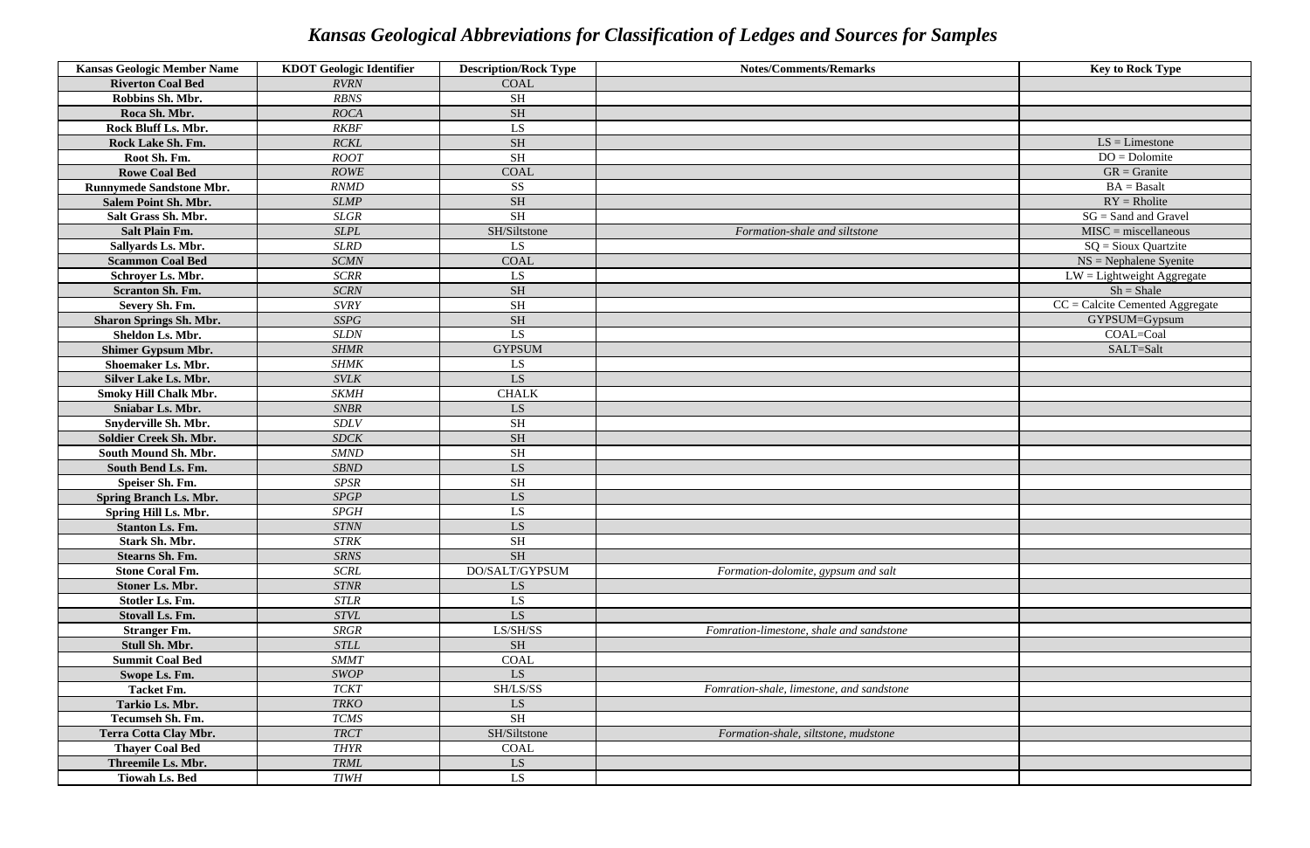| <b>Kansas Geologic Member Name</b> | <b>KDOT</b> Geologic Identifier | <b>Description/Rock Type</b> | <b>Notes/Comments/Remarks</b>             | <b>Key to Rock Type</b>           |
|------------------------------------|---------------------------------|------------------------------|-------------------------------------------|-----------------------------------|
| <b>Riverton Coal Bed</b>           | <b>RVRN</b>                     | <b>COAL</b>                  |                                           |                                   |
| Robbins Sh. Mbr.                   | <b>RBNS</b>                     | <b>SH</b>                    |                                           |                                   |
| Roca Sh. Mbr.                      | <b>ROCA</b>                     | <b>SH</b>                    |                                           |                                   |
| Rock Bluff Ls. Mbr.                | <b>RKBF</b>                     | LS.                          |                                           |                                   |
| Rock Lake Sh. Fm.                  | <b>RCKL</b>                     | <b>SH</b>                    |                                           | $\overline{LS}$ = Limestone       |
| Root Sh. Fm.                       | <b>ROOT</b>                     | <b>SH</b>                    |                                           | $DO = Dolomite$                   |
| <b>Rowe Coal Bed</b>               | <b>ROWE</b>                     | <b>COAL</b>                  |                                           | $GR =$ Granite                    |
| <b>Runnymede Sandstone Mbr.</b>    | <b>RNMD</b>                     | <b>SS</b>                    |                                           | $BA = Basalt$                     |
| <b>Salem Point Sh. Mbr.</b>        | <b>SLMP</b>                     | <b>SH</b>                    |                                           | $RY = Rholite$                    |
| Salt Grass Sh. Mbr.                | <b>SLGR</b>                     | <b>SH</b>                    |                                           | $SG =$ Sand and Gravel            |
| <b>Salt Plain Fm.</b>              | <b>SLPL</b>                     | SH/Siltstone                 | Formation-shale and siltstone             | $MISC =$ miscellaneous            |
| Sallyards Ls. Mbr.                 | <b>SLRD</b>                     | LS                           |                                           | $SQ =$ Sioux Quartzite            |
| <b>Scammon Coal Bed</b>            | <b>SCMN</b>                     | <b>COAL</b>                  |                                           | $NS = Nephalene Syenite$          |
| Schroyer Ls. Mbr.                  | <b>SCRR</b>                     | LS                           |                                           | $LW =$ Lightweight Aggregate      |
| <b>Scranton Sh. Fm.</b>            | <b>SCRN</b>                     | <b>SH</b>                    |                                           | $Sh = Shale$                      |
| Severy Sh. Fm.                     | <b>SVRY</b>                     | <b>SH</b>                    |                                           | $CC =$ Calcite Cemented Aggregate |
| <b>Sharon Springs Sh. Mbr.</b>     | <b>SSPG</b>                     | <b>SH</b>                    |                                           | GYPSUM=Gypsum                     |
| Sheldon Ls. Mbr.                   | <b>SLDN</b>                     | LS.                          |                                           | COAL=Coal                         |
| <b>Shimer Gypsum Mbr.</b>          | <b>SHMR</b>                     | <b>GYPSUM</b>                |                                           | SALT=Salt                         |
| <b>Shoemaker Ls. Mbr.</b>          | <b>SHMK</b>                     | LS                           |                                           |                                   |
| <b>Silver Lake Ls. Mbr.</b>        | <b>SVLK</b>                     | LS                           |                                           |                                   |
| <b>Smoky Hill Chalk Mbr.</b>       | <b>SKMH</b>                     | <b>CHALK</b>                 |                                           |                                   |
| Sniabar Ls. Mbr.                   | <b>SNBR</b>                     | LS                           |                                           |                                   |
| <b>Snyderville Sh. Mbr.</b>        | <b>SDLV</b>                     | <b>SH</b>                    |                                           |                                   |
| <b>Soldier Creek Sh. Mbr.</b>      | <b>SDCK</b>                     | <b>SH</b>                    |                                           |                                   |
| South Mound Sh. Mbr.               | <b>SMND</b>                     | <b>SH</b>                    |                                           |                                   |
| South Bend Ls. Fm.                 | <b>SBND</b>                     | LS                           |                                           |                                   |
| Speiser Sh. Fm.                    | <b>SPSR</b>                     | <b>SH</b>                    |                                           |                                   |
| <b>Spring Branch Ls. Mbr.</b>      | SPGP                            | LS                           |                                           |                                   |
| Spring Hill Ls. Mbr.               | <b>SPGH</b>                     | LS                           |                                           |                                   |
| <b>Stanton Ls. Fm.</b>             | <b>STNN</b>                     | LS                           |                                           |                                   |
| Stark Sh. Mbr.                     | <b>STRK</b>                     | SH                           |                                           |                                   |
| <b>Stearns Sh. Fm.</b>             | <b>SRNS</b>                     | <b>SH</b>                    |                                           |                                   |
| <b>Stone Coral Fm.</b>             | <b>SCRL</b>                     | DO/SALT/GYPSUM               | Formation-dolomite, gypsum and salt       |                                   |
| <b>Stoner Ls. Mbr.</b>             | <b>STNR</b>                     | LS                           |                                           |                                   |
| Stotler Ls. Fm.                    | <b>STLR</b>                     | LS                           |                                           |                                   |
| Stovall Ls. Fm.                    | $STVL$                          | LS.                          |                                           |                                   |
| <b>Stranger Fm.</b>                | ${\it SRGR}$                    | LS/SH/SS                     | Fomration-limestone, shale and sandstone  |                                   |
| Stull Sh. Mbr.                     | <b>STLL</b>                     | <b>SH</b>                    |                                           |                                   |
| <b>Summit Coal Bed</b>             | <b>SMMT</b>                     | <b>COAL</b>                  |                                           |                                   |
| Swope Ls. Fm.                      | <b>SWOP</b>                     | LS.                          |                                           |                                   |
| <b>Tacket Fm.</b>                  | <b>TCKT</b>                     | SH/LS/SS                     | Fomration-shale, limestone, and sandstone |                                   |
| Tarkio Ls. Mbr.                    | <b>TRKO</b>                     | LS                           |                                           |                                   |
| Tecumseh Sh. Fm.                   | <b>TCMS</b>                     | <b>SH</b>                    |                                           |                                   |
| <b>Terra Cotta Clay Mbr.</b>       | <b>TRCT</b>                     | SH/Siltstone                 | Formation-shale, siltstone, mudstone      |                                   |
| <b>Thayer Coal Bed</b>             | <b>THYR</b>                     | COAL                         |                                           |                                   |
| Threemile Ls. Mbr.                 | <b>TRML</b>                     | LS                           |                                           |                                   |
| <b>Tiowah Ls. Bed</b>              | <b>TIWH</b>                     | LS.                          |                                           |                                   |